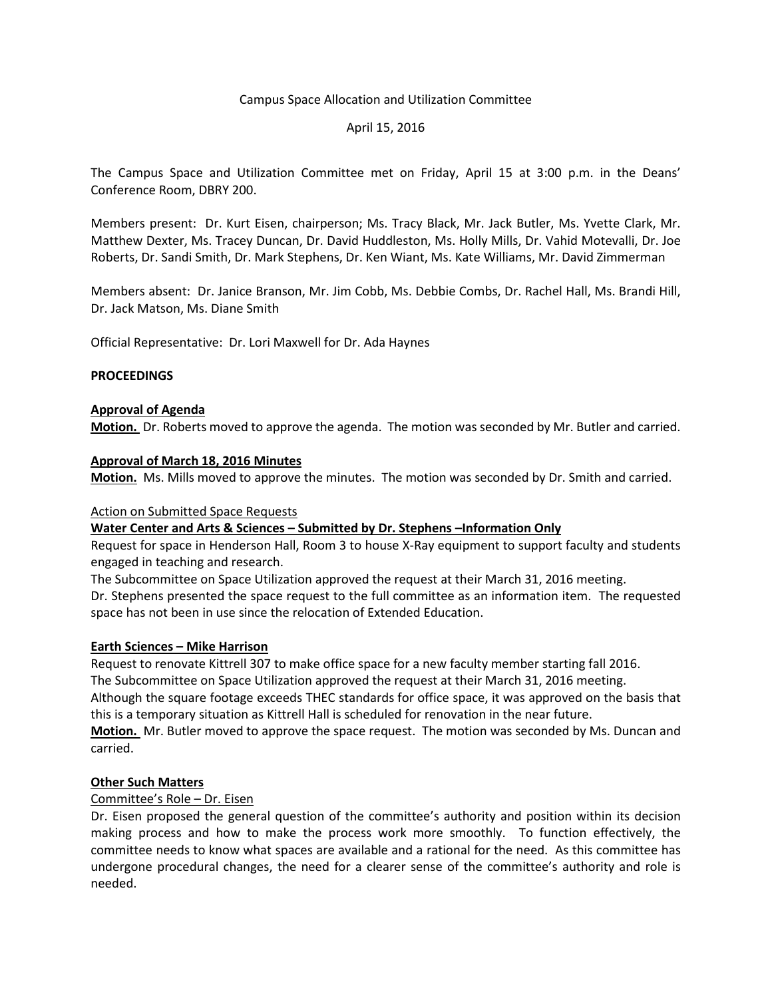## Campus Space Allocation and Utilization Committee

## April 15, 2016

The Campus Space and Utilization Committee met on Friday, April 15 at 3:00 p.m. in the Deans' Conference Room, DBRY 200.

Members present: Dr. Kurt Eisen, chairperson; Ms. Tracy Black, Mr. Jack Butler, Ms. Yvette Clark, Mr. Matthew Dexter, Ms. Tracey Duncan, Dr. David Huddleston, Ms. Holly Mills, Dr. Vahid Motevalli, Dr. Joe Roberts, Dr. Sandi Smith, Dr. Mark Stephens, Dr. Ken Wiant, Ms. Kate Williams, Mr. David Zimmerman

Members absent: Dr. Janice Branson, Mr. Jim Cobb, Ms. Debbie Combs, Dr. Rachel Hall, Ms. Brandi Hill, Dr. Jack Matson, Ms. Diane Smith

Official Representative: Dr. Lori Maxwell for Dr. Ada Haynes

## **PROCEEDINGS**

## **Approval of Agenda**

**Motion.** Dr. Roberts moved to approve the agenda. The motion was seconded by Mr. Butler and carried.

## **Approval of March 18, 2016 Minutes**

**Motion.** Ms. Mills moved to approve the minutes. The motion was seconded by Dr. Smith and carried.

#### Action on Submitted Space Requests

# **Water Center and Arts & Sciences – Submitted by Dr. Stephens –Information Only**

Request for space in Henderson Hall, Room 3 to house X-Ray equipment to support faculty and students engaged in teaching and research.

The Subcommittee on Space Utilization approved the request at their March 31, 2016 meeting.

Dr. Stephens presented the space request to the full committee as an information item. The requested space has not been in use since the relocation of Extended Education.

#### **Earth Sciences – Mike Harrison**

Request to renovate Kittrell 307 to make office space for a new faculty member starting fall 2016. The Subcommittee on Space Utilization approved the request at their March 31, 2016 meeting.

Although the square footage exceeds THEC standards for office space, it was approved on the basis that this is a temporary situation as Kittrell Hall is scheduled for renovation in the near future.

**Motion.** Mr. Butler moved to approve the space request. The motion was seconded by Ms. Duncan and carried.

# **Other Such Matters**

# Committee's Role – Dr. Eisen

Dr. Eisen proposed the general question of the committee's authority and position within its decision making process and how to make the process work more smoothly. To function effectively, the committee needs to know what spaces are available and a rational for the need. As this committee has undergone procedural changes, the need for a clearer sense of the committee's authority and role is needed.